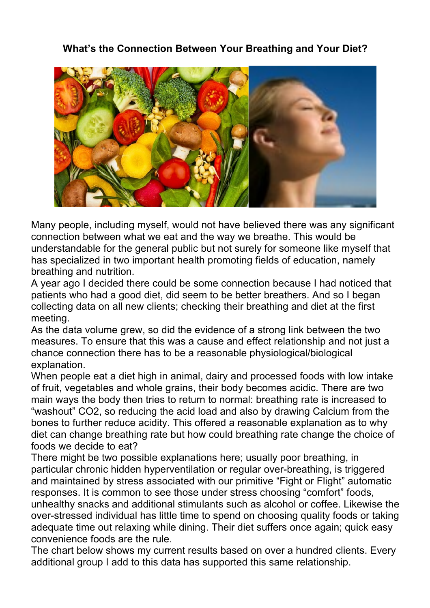## **What's the Connection Between Your Breathing and Your Diet?**



Many people, including myself, would not have believed there was any significant connection between what we eat and the way we breathe. This would be understandable for the general public but not surely for someone like myself that has specialized in two important health promoting fields of education, namely breathing and nutrition.

A year ago I decided there could be some connection because I had noticed that patients who had a good diet, did seem to be better breathers. And so I began collecting data on all new clients; checking their breathing and diet at the first meeting.

As the data volume grew, so did the evidence of a strong link between the two measures. To ensure that this was a cause and effect relationship and not just a chance connection there has to be a reasonable physiological/biological explanation.

When people eat a diet high in animal, dairy and processed foods with low intake of fruit, vegetables and whole grains, their body becomes acidic. There are two main ways the body then tries to return to normal: breathing rate is increased to "washout" CO2, so reducing the acid load and also by drawing Calcium from the bones to further reduce acidity. This offered a reasonable explanation as to why diet can change breathing rate but how could breathing rate change the choice of foods we decide to eat?

There might be two possible explanations here; usually poor breathing, in particular chronic hidden hyperventilation or regular over-breathing, is triggered and maintained by stress associated with our primitive "Fight or Flight" automatic responses. It is common to see those under stress choosing "comfort" foods, unhealthy snacks and additional stimulants such as alcohol or coffee. Likewise the over-stressed individual has little time to spend on choosing quality foods or taking adequate time out relaxing while dining. Their diet suffers once again; quick easy convenience foods are the rule.

The chart below shows my current results based on over a hundred clients. Every additional group I add to this data has supported this same relationship.